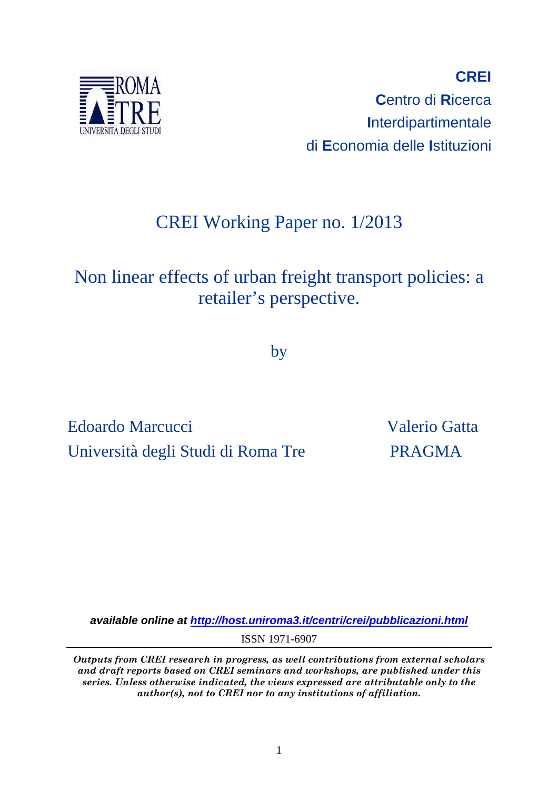

**CREI C**entro di **R**icerca **I**nterdipartimentale di **E**conomia delle **I**stituzioni

# CREI Working Paper no. 1/2013

# Non linear effects of urban freight transport policies: a retailer's perspective.

by

Edoardo Marcucci Valerio Gatta Università degli Studi di Roma Tre PRAGMA

**available online at http://host.uniroma3.it/centri/crei/pubblicazioni.html** ISSN 1971-6907

*Outputs from CREI research in progress, as well contributions from external scholars and draft reports based on CREI seminars and workshops, are published under this series. Unless otherwise indicated, the views expressed are attributable only to the author(s), not to CREI nor to any institutions of affiliation.*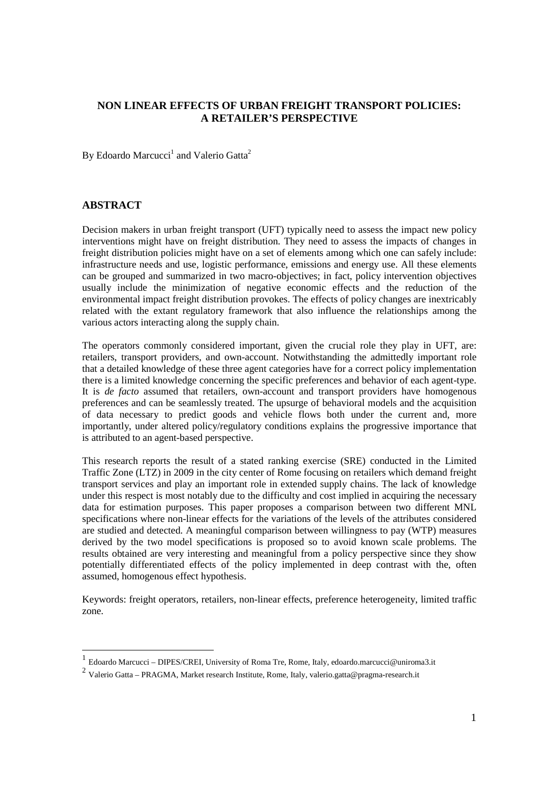## **NON LINEAR EFFECTS OF URBAN FREIGHT TRANSPORT POLICIES: A RETAILER'S PERSPECTIVE**

By Edoardo Marcucci<sup>1</sup> and Valerio Gatta<sup>2</sup>

## **ABSTRACT**

-

Decision makers in urban freight transport (UFT) typically need to assess the impact new policy interventions might have on freight distribution. They need to assess the impacts of changes in freight distribution policies might have on a set of elements among which one can safely include: infrastructure needs and use, logistic performance, emissions and energy use. All these elements can be grouped and summarized in two macro-objectives; in fact, policy intervention objectives usually include the minimization of negative economic effects and the reduction of the environmental impact freight distribution provokes. The effects of policy changes are inextricably related with the extant regulatory framework that also influence the relationships among the various actors interacting along the supply chain.

The operators commonly considered important, given the crucial role they play in UFT, are: retailers, transport providers, and own-account. Notwithstanding the admittedly important role that a detailed knowledge of these three agent categories have for a correct policy implementation there is a limited knowledge concerning the specific preferences and behavior of each agent-type. It is *de facto* assumed that retailers, own-account and transport providers have homogenous preferences and can be seamlessly treated. The upsurge of behavioral models and the acquisition of data necessary to predict goods and vehicle flows both under the current and, more importantly, under altered policy/regulatory conditions explains the progressive importance that is attributed to an agent-based perspective.

This research reports the result of a stated ranking exercise (SRE) conducted in the Limited Traffic Zone (LTZ) in 2009 in the city center of Rome focusing on retailers which demand freight transport services and play an important role in extended supply chains. The lack of knowledge under this respect is most notably due to the difficulty and cost implied in acquiring the necessary data for estimation purposes. This paper proposes a comparison between two different MNL specifications where non-linear effects for the variations of the levels of the attributes considered are studied and detected. A meaningful comparison between willingness to pay (WTP) measures derived by the two model specifications is proposed so to avoid known scale problems. The results obtained are very interesting and meaningful from a policy perspective since they show potentially differentiated effects of the policy implemented in deep contrast with the, often assumed, homogenous effect hypothesis.

Keywords: freight operators, retailers, non-linear effects, preference heterogeneity, limited traffic zone.

<sup>1</sup> Edoardo Marcucci – DIPES/CREI, University of Roma Tre, Rome, Italy, edoardo.marcucci@uniroma3.it

<sup>&</sup>lt;sup>2</sup> Valerio Gatta – PRAGMA, Market research Institute, Rome, Italy, valerio.gatta@pragma-research.it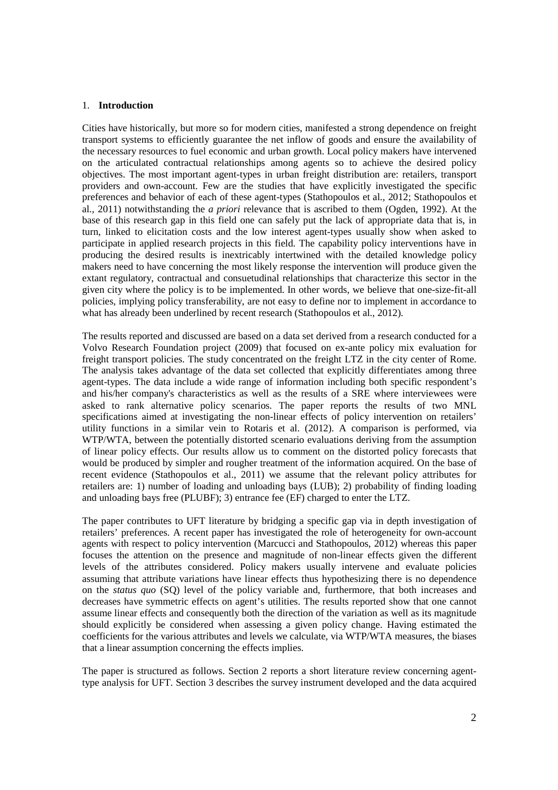#### 1. **Introduction**

Cities have historically, but more so for modern cities, manifested a strong dependence on freight transport systems to efficiently guarantee the net inflow of goods and ensure the availability of the necessary resources to fuel economic and urban growth. Local policy makers have intervened on the articulated contractual relationships among agents so to achieve the desired policy objectives. The most important agent-types in urban freight distribution are: retailers, transport providers and own-account. Few are the studies that have explicitly investigated the specific preferences and behavior of each of these agent-types (Stathopoulos et al., 2012; Stathopoulos et al., 2011) notwithstanding the *a priori* relevance that is ascribed to them (Ogden, 1992). At the base of this research gap in this field one can safely put the lack of appropriate data that is, in turn, linked to elicitation costs and the low interest agent-types usually show when asked to participate in applied research projects in this field. The capability policy interventions have in producing the desired results is inextricably intertwined with the detailed knowledge policy makers need to have concerning the most likely response the intervention will produce given the extant regulatory, contractual and consuetudinal relationships that characterize this sector in the given city where the policy is to be implemented. In other words, we believe that one-size-fit-all policies, implying policy transferability, are not easy to define nor to implement in accordance to what has already been underlined by recent research (Stathopoulos et al., 2012).

The results reported and discussed are based on a data set derived from a research conducted for a Volvo Research Foundation project (2009) that focused on ex-ante policy mix evaluation for freight transport policies. The study concentrated on the freight LTZ in the city center of Rome. The analysis takes advantage of the data set collected that explicitly differentiates among three agent-types. The data include a wide range of information including both specific respondent's and his/her company's characteristics as well as the results of a SRE where interviewees were asked to rank alternative policy scenarios. The paper reports the results of two MNL specifications aimed at investigating the non-linear effects of policy intervention on retailers' utility functions in a similar vein to Rotaris et al. (2012). A comparison is performed, via WTP/WTA, between the potentially distorted scenario evaluations deriving from the assumption of linear policy effects. Our results allow us to comment on the distorted policy forecasts that would be produced by simpler and rougher treatment of the information acquired. On the base of recent evidence (Stathopoulos et al., 2011) we assume that the relevant policy attributes for retailers are: 1) number of loading and unloading bays (LUB); 2) probability of finding loading and unloading bays free (PLUBF); 3) entrance fee (EF) charged to enter the LTZ.

The paper contributes to UFT literature by bridging a specific gap via in depth investigation of retailers' preferences. A recent paper has investigated the role of heterogeneity for own-account agents with respect to policy intervention (Marcucci and Stathopoulos, 2012) whereas this paper focuses the attention on the presence and magnitude of non-linear effects given the different levels of the attributes considered. Policy makers usually intervene and evaluate policies assuming that attribute variations have linear effects thus hypothesizing there is no dependence on the *status quo* (SQ) level of the policy variable and, furthermore, that both increases and decreases have symmetric effects on agent's utilities. The results reported show that one cannot assume linear effects and consequently both the direction of the variation as well as its magnitude should explicitly be considered when assessing a given policy change. Having estimated the coefficients for the various attributes and levels we calculate, via WTP/WTA measures, the biases that a linear assumption concerning the effects implies.

The paper is structured as follows. Section 2 reports a short literature review concerning agenttype analysis for UFT. Section 3 describes the survey instrument developed and the data acquired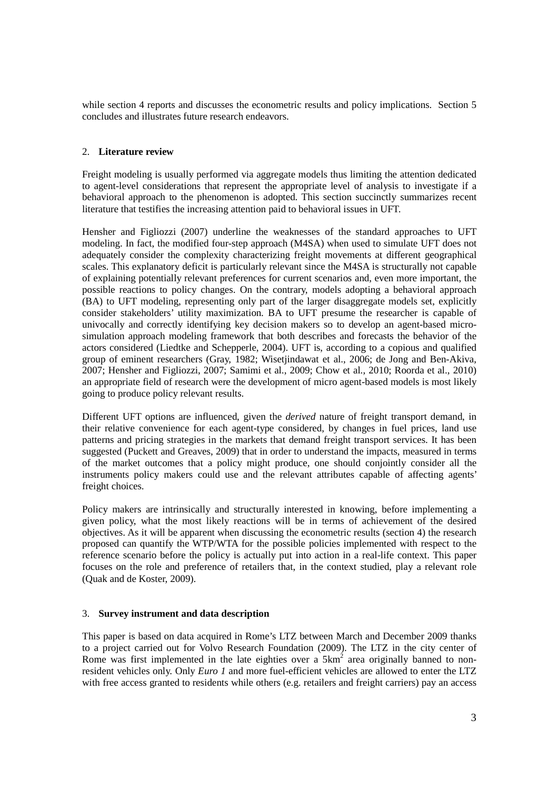while section 4 reports and discusses the econometric results and policy implications. Section 5 concludes and illustrates future research endeavors.

## 2. **Literature review**

Freight modeling is usually performed via aggregate models thus limiting the attention dedicated to agent-level considerations that represent the appropriate level of analysis to investigate if a behavioral approach to the phenomenon is adopted. This section succinctly summarizes recent literature that testifies the increasing attention paid to behavioral issues in UFT.

Hensher and Figliozzi (2007) underline the weaknesses of the standard approaches to UFT modeling. In fact, the modified four-step approach (M4SA) when used to simulate UFT does not adequately consider the complexity characterizing freight movements at different geographical scales. This explanatory deficit is particularly relevant since the M4SA is structurally not capable of explaining potentially relevant preferences for current scenarios and, even more important, the possible reactions to policy changes. On the contrary, models adopting a behavioral approach (BA) to UFT modeling, representing only part of the larger disaggregate models set, explicitly consider stakeholders' utility maximization. BA to UFT presume the researcher is capable of univocally and correctly identifying key decision makers so to develop an agent-based microsimulation approach modeling framework that both describes and forecasts the behavior of the actors considered (Liedtke and Schepperle, 2004). UFT is, according to a copious and qualified group of eminent researchers (Gray, 1982; Wisetjindawat et al., 2006; de Jong and Ben-Akiva, 2007; Hensher and Figliozzi, 2007; Samimi et al., 2009; Chow et al., 2010; Roorda et al., 2010) an appropriate field of research were the development of micro agent-based models is most likely going to produce policy relevant results.

Different UFT options are influenced, given the *derived* nature of freight transport demand, in their relative convenience for each agent-type considered, by changes in fuel prices, land use patterns and pricing strategies in the markets that demand freight transport services. It has been suggested (Puckett and Greaves, 2009) that in order to understand the impacts, measured in terms of the market outcomes that a policy might produce, one should conjointly consider all the instruments policy makers could use and the relevant attributes capable of affecting agents' freight choices.

Policy makers are intrinsically and structurally interested in knowing, before implementing a given policy, what the most likely reactions will be in terms of achievement of the desired objectives. As it will be apparent when discussing the econometric results (section 4) the research proposed can quantify the WTP/WTA for the possible policies implemented with respect to the reference scenario before the policy is actually put into action in a real-life context. This paper focuses on the role and preference of retailers that, in the context studied, play a relevant role (Quak and de Koster, 2009).

## 3. **Survey instrument and data description**

This paper is based on data acquired in Rome's LTZ between March and December 2009 thanks to a project carried out for Volvo Research Foundation (2009). The LTZ in the city center of Rome was first implemented in the late eighties over a  $5km^2$  area originally banned to nonresident vehicles only. Only *Euro 1* and more fuel-efficient vehicles are allowed to enter the LTZ with free access granted to residents while others (e.g. retailers and freight carriers) pay an access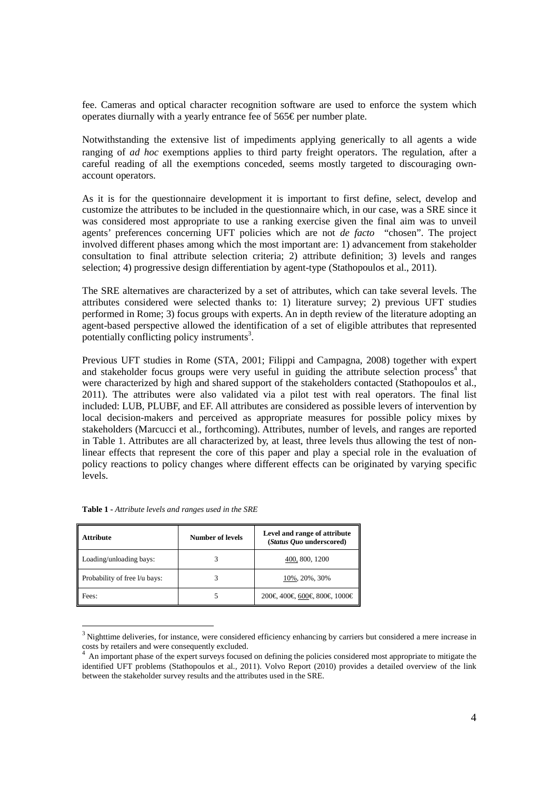fee. Cameras and optical character recognition software are used to enforce the system which operates diurnally with a yearly entrance fee of  $565 \epsilon$  per number plate.

Notwithstanding the extensive list of impediments applying generically to all agents a wide ranging of *ad hoc* exemptions applies to third party freight operators. The regulation, after a careful reading of all the exemptions conceded, seems mostly targeted to discouraging ownaccount operators.

As it is for the questionnaire development it is important to first define, select, develop and customize the attributes to be included in the questionnaire which, in our case, was a SRE since it was considered most appropriate to use a ranking exercise given the final aim was to unveil agents' preferences concerning UFT policies which are not *de facto* "chosen". The project involved different phases among which the most important are: 1) advancement from stakeholder consultation to final attribute selection criteria; 2) attribute definition; 3) levels and ranges selection; 4) progressive design differentiation by agent-type (Stathopoulos et al., 2011).

The SRE alternatives are characterized by a set of attributes, which can take several levels. The attributes considered were selected thanks to: 1) literature survey; 2) previous UFT studies performed in Rome; 3) focus groups with experts. An in depth review of the literature adopting an agent-based perspective allowed the identification of a set of eligible attributes that represented potentially conflicting policy instruments<sup>3</sup>.

Previous UFT studies in Rome (STA, 2001; Filippi and Campagna, 2008) together with expert and stakeholder focus groups were very useful in guiding the attribute selection process<sup>4</sup> that were characterized by high and shared support of the stakeholders contacted (Stathopoulos et al., 2011). The attributes were also validated via a pilot test with real operators. The final list included: LUB, PLUBF, and EF. All attributes are considered as possible levers of intervention by local decision-makers and perceived as appropriate measures for possible policy mixes by stakeholders (Marcucci et al., forthcoming). Attributes, number of levels, and ranges are reported in Table 1. Attributes are all characterized by, at least, three levels thus allowing the test of nonlinear effects that represent the core of this paper and play a special role in the evaluation of policy reactions to policy changes where different effects can be originated by varying specific levels.

| Attribute                     | Number of levels | Level and range of attribute<br>(Status Quo underscored) |
|-------------------------------|------------------|----------------------------------------------------------|
| Loading/unloading bays:       |                  | 400, 800, 1200                                           |
| Probability of free I/u bays: |                  | 10%, 20%, 30%                                            |
| Fees:                         |                  | 200€, 400€, 600€, 800€, 1000€                            |

**Table 1 -** *Attribute levels and ranges used in the SRE* 

-

 $3$  Nighttime deliveries, for instance, were considered efficiency enhancing by carriers but considered a mere increase in costs by retailers and were consequently excluded.

<sup>4</sup>An important phase of the expert surveys focused on defining the policies considered most appropriate to mitigate the identified UFT problems (Stathopoulos et al., 2011). Volvo Report (2010) provides a detailed overview of the link between the stakeholder survey results and the attributes used in the SRE.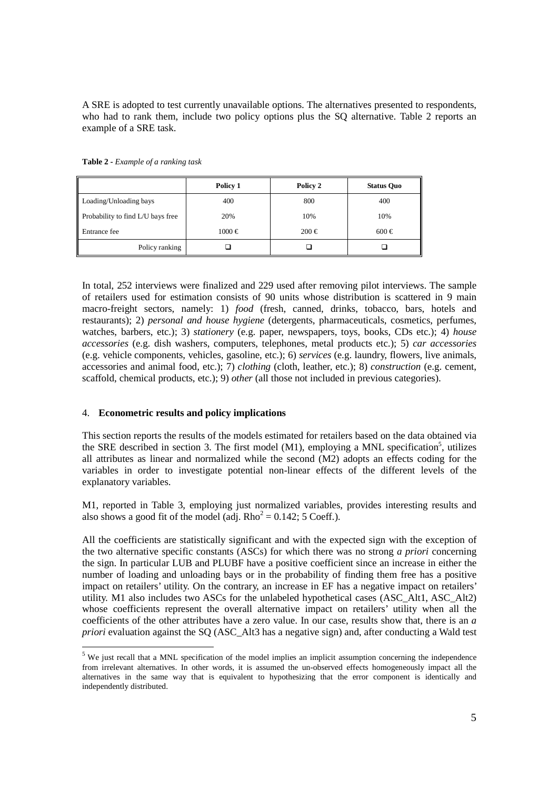A SRE is adopted to test currently unavailable options. The alternatives presented to respondents, who had to rank them, include two policy options plus the SQ alternative. Table 2 reports an example of a SRE task.

|                                        | Policy 1   | Policy 2  | <b>Status Quo</b> |
|----------------------------------------|------------|-----------|-------------------|
| Loading/Unloading bays                 | 400        | 800       | 400               |
| Probability to find L/U bays free<br>Ш | 20%        | 10%       | 10%               |
| Entrance fee                           | $1000 \in$ | $200 \in$ | $600 \in$         |
| Policy ranking                         |            |           |                   |

**Table 2 -** *Example of a ranking task* 

In total, 252 interviews were finalized and 229 used after removing pilot interviews. The sample of retailers used for estimation consists of 90 units whose distribution is scattered in 9 main macro-freight sectors, namely: 1) *food* (fresh, canned, drinks, tobacco, bars, hotels and restaurants); 2) *personal and house hygiene* (detergents, pharmaceuticals, cosmetics, perfumes, watches, barbers, etc.); 3) *stationery* (e.g. paper, newspapers, toys, books, CDs etc.); 4) *house accessories* (e.g. dish washers, computers, telephones, metal products etc.); 5) *car accessories* (e.g. vehicle components, vehicles, gasoline, etc.); 6) *services* (e.g. laundry, flowers, live animals, accessories and animal food, etc.); 7) *clothing* (cloth, leather, etc.); 8) *construction* (e.g. cement, scaffold, chemical products, etc.); 9) *other* (all those not included in previous categories).

## 4. **Econometric results and policy implications**

-

This section reports the results of the models estimated for retailers based on the data obtained via the SRE described in section 3. The first model (M1), employing a MNL specification<sup>5</sup>, utilizes all attributes as linear and normalized while the second (M2) adopts an effects coding for the variables in order to investigate potential non-linear effects of the different levels of the explanatory variables.

M1, reported in Table 3, employing just normalized variables, provides interesting results and also shows a good fit of the model (adj.  $Rho^2 = 0.142$ ; 5 Coeff.).

All the coefficients are statistically significant and with the expected sign with the exception of the two alternative specific constants (ASCs) for which there was no strong *a priori* concerning the sign. In particular LUB and PLUBF have a positive coefficient since an increase in either the number of loading and unloading bays or in the probability of finding them free has a positive impact on retailers' utility. On the contrary, an increase in EF has a negative impact on retailers' utility. M1 also includes two ASCs for the unlabeled hypothetical cases (ASC\_Alt1, ASC\_Alt2) whose coefficients represent the overall alternative impact on retailers' utility when all the coefficients of the other attributes have a zero value. In our case, results show that, there is an *a priori* evaluation against the SQ (ASC\_Alt3 has a negative sign) and, after conducting a Wald test

<sup>&</sup>lt;sup>5</sup> We just recall that a MNL specification of the model implies an implicit assumption concerning the independence from irrelevant alternatives. In other words, it is assumed the un-observed effects homogeneously impact all the alternatives in the same way that is equivalent to hypothesizing that the error component is identically and independently distributed.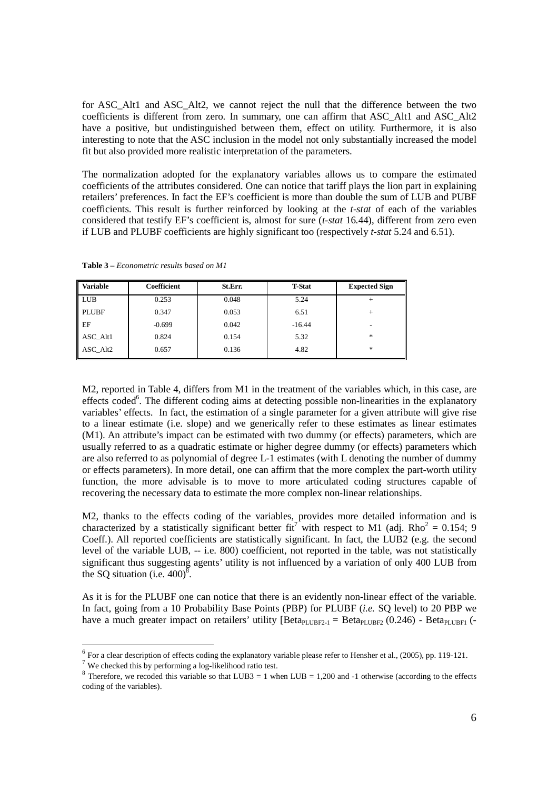for ASC\_Alt1 and ASC\_Alt2, we cannot reject the null that the difference between the two coefficients is different from zero. In summary, one can affirm that ASC\_Alt1 and ASC\_Alt2 have a positive, but undistinguished between them, effect on utility. Furthermore, it is also interesting to note that the ASC inclusion in the model not only substantially increased the model fit but also provided more realistic interpretation of the parameters.

The normalization adopted for the explanatory variables allows us to compare the estimated coefficients of the attributes considered. One can notice that tariff plays the lion part in explaining retailers' preferences. In fact the EF's coefficient is more than double the sum of LUB and PUBF coefficients. This result is further reinforced by looking at the *t-stat* of each of the variables considered that testify EF's coefficient is, almost for sure (*t-stat* 16.44), different from zero even if LUB and PLUBF coefficients are highly significant too (respectively *t-stat* 5.24 and 6.51).

| <b>Table 3</b> – <i>Econometric results based on M1</i> |
|---------------------------------------------------------|
|                                                         |

| <b>Variable</b> | Coefficient | St.Err. | <b>T-Stat</b> | <b>Expected Sign</b> |
|-----------------|-------------|---------|---------------|----------------------|
| <b>LUB</b>      | 0.253       | 0.048   | 5.24          |                      |
| <b>PLUBF</b>    | 0.347       | 0.053   | 6.51          | $^{+}$               |
| EF              | $-0.699$    | 0.042   | $-16.44$      | -                    |
| ASC Alt1        | 0.824       | 0.154   | 5.32          | $*$                  |
| ASC Alt2        | 0.657       | 0.136   | 4.82          | $*$                  |

M2, reported in Table 4, differs from M1 in the treatment of the variables which, in this case, are effects coded<sup>6</sup>. The different coding aims at detecting possible non-linearities in the explanatory variables' effects. In fact, the estimation of a single parameter for a given attribute will give rise to a linear estimate (i.e. slope) and we generically refer to these estimates as linear estimates (M1). An attribute's impact can be estimated with two dummy (or effects) parameters, which are usually referred to as a quadratic estimate or higher degree dummy (or effects) parameters which are also referred to as polynomial of degree L-1 estimates (with L denoting the number of dummy or effects parameters). In more detail, one can affirm that the more complex the part-worth utility function, the more advisable is to move to more articulated coding structures capable of recovering the necessary data to estimate the more complex non-linear relationships.

M2, thanks to the effects coding of the variables, provides more detailed information and is characterized by a statistically significant better fit<sup>7</sup> with respect to M1 (adj. Rho<sup>2</sup> = 0.154; 9 Coeff.). All reported coefficients are statistically significant. In fact, the LUB2 (e.g. the second level of the variable LUB, -- i.e. 800) coefficient, not reported in the table, was not statistically significant thus suggesting agents' utility is not influenced by a variation of only 400 LUB from the SQ situation (i.e.  $400$ )<sup>8</sup>.

As it is for the PLUBF one can notice that there is an evidently non-linear effect of the variable. In fact, going from a 10 Probability Base Points (PBP) for PLUBF (*i.e.* SQ level) to 20 PBP we have a much greater impact on retailers' utility [Beta<sub>PLUBF2-1</sub> = Beta<sub>PLUBF2</sub> (0.246) - Beta<sub>PLUBF1</sub> (-

For a clear description of effects coding the explanatory variable please refer to Hensher et al., (2005), pp. 119-121.

<sup>7</sup> We checked this by performing a log-likelihood ratio test.

<sup>&</sup>lt;sup>8</sup> Therefore, we recoded this variable so that LUB3 = 1 when LUB = 1,200 and -1 otherwise (according to the effects coding of the variables).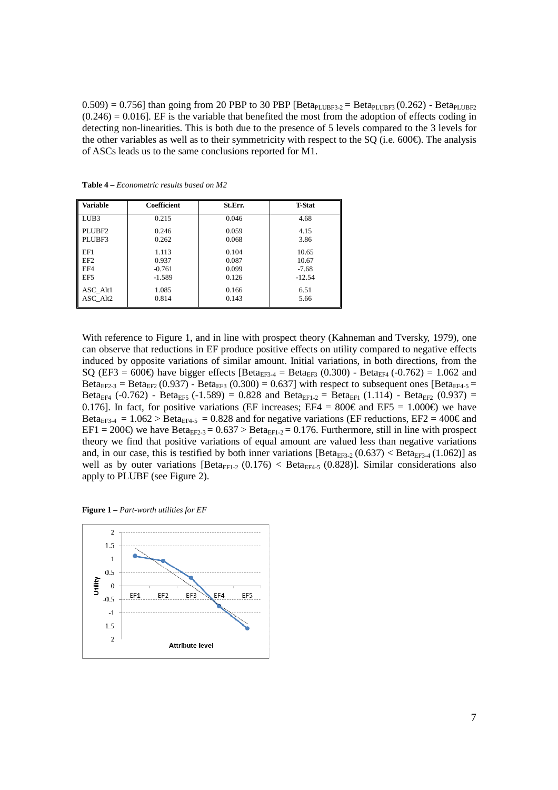$0.509$  = 0.756] than going from 20 PBP to 30 PBP [Beta<sub>PLUBF3</sub>. = Beta<sub>PLUBF3</sub> (0.262) - Beta<sub>PLUBF2</sub>  $(0.246) = 0.016$ ]. EF is the variable that benefited the most from the adoption of effects coding in detecting non-linearities. This is both due to the presence of 5 levels compared to the 3 levels for the other variables as well as to their symmetricity with respect to the SQ (i.e. 600 $\epsilon$ ). The analysis of ASCs leads us to the same conclusions reported for M1.

| <b>Variable</b>  | Coefficient | St.Err. | <b>T-Stat</b> |
|------------------|-------------|---------|---------------|
| LUB <sub>3</sub> | 0.215       | 0.046   | 4.68          |
| PLUBF2           | 0.246       | 0.059   | 4.15          |
| PLUBF3           | 0.262       | 0.068   | 3.86          |
| EF1              | 1.113       | 0.104   | 10.65         |
| EF <sub>2</sub>  | 0.937       | 0.087   | 10.67         |
| EF4              | $-0.761$    | 0.099   | $-7.68$       |
| EF5              | $-1.589$    | 0.126   | $-12.54$      |
| ASC Alt1         | 1.085       | 0.166   | 6.51          |
| ASC Alt2         | 0.814       | 0.143   | 5.66          |

**Table 4 –** *Econometric results based on M2* 

With reference to Figure 1, and in line with prospect theory (Kahneman and Tversky, 1979), one can observe that reductions in EF produce positive effects on utility compared to negative effects induced by opposite variations of similar amount. Initial variations, in both directions, from the SQ (EF3 = 600€) have bigger effects [Beta<sub>EF3-4</sub> = Beta<sub>EF3</sub> (0.300) - Beta<sub>EF4</sub> (-0.762) = 1.062 and Beta<sub>EF2-3</sub> = Beta<sub>EF2</sub> (0.937) - Beta<sub>EF3</sub> (0.300) = 0.637] with respect to subsequent ones [Beta<sub>EF4-5</sub> = Beta<sub>EF4</sub> (-0.762) - Beta<sub>EF5</sub> (-1.589) = 0.828 and Beta<sub>EF1-2</sub> = Beta<sub>EF1</sub> (1.114) - Beta<sub>EF2</sub> (0.937) = 0.176]. In fact, for positive variations (EF increases; EF4 =  $800\epsilon$  and EF5 = 1.000 $\epsilon$ ) we have Beta<sub>EF3-4</sub> = 1.062 > Beta<sub>EF4-5</sub> = 0.828 and for negative variations (EF reductions, EF2 = 400€ and EF1 = 200€) we have Bet $a_{E2-3}$  = 0.637 > Bet $a_{EF1-2}$  = 0.176. Furthermore, still in line with prospect theory we find that positive variations of equal amount are valued less than negative variations and, in our case, this is testified by both inner variations  $[Beta_{EF3-2}(0.637) < Beta_{EF3-4}(1.062)]$  as well as by outer variations  $[Beta_{EF1-2} (0.176) < Beta_{EF4-5} (0.828)]$ . Similar considerations also apply to PLUBF (see Figure 2).

**Figure 1 –** *Part-worth utilities for EF* 

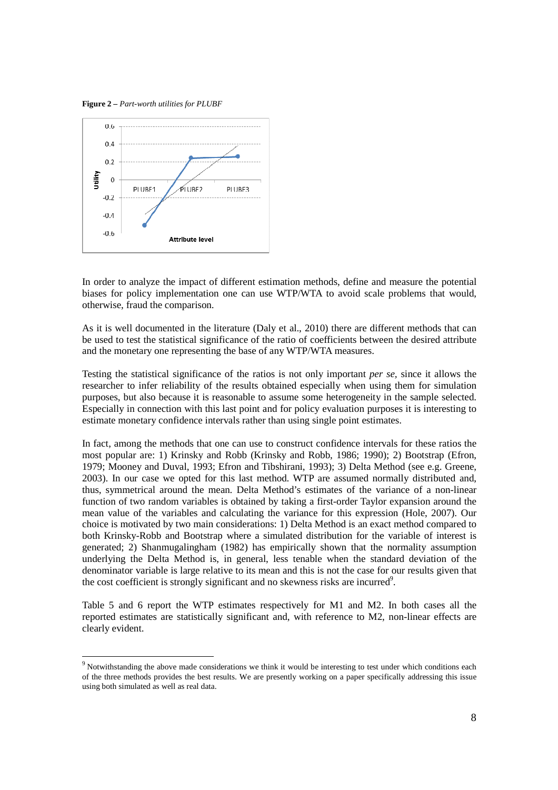**Figure 2 –** *Part-worth utilities for PLUBF* 

-



In order to analyze the impact of different estimation methods, define and measure the potential biases for policy implementation one can use WTP/WTA to avoid scale problems that would, otherwise, fraud the comparison.

As it is well documented in the literature (Daly et al., 2010) there are different methods that can be used to test the statistical significance of the ratio of coefficients between the desired attribute and the monetary one representing the base of any WTP/WTA measures.

Testing the statistical significance of the ratios is not only important *per se,* since it allows the researcher to infer reliability of the results obtained especially when using them for simulation purposes, but also because it is reasonable to assume some heterogeneity in the sample selected. Especially in connection with this last point and for policy evaluation purposes it is interesting to estimate monetary confidence intervals rather than using single point estimates.

In fact, among the methods that one can use to construct confidence intervals for these ratios the most popular are: 1) Krinsky and Robb (Krinsky and Robb, 1986; 1990); 2) Bootstrap (Efron, 1979; Mooney and Duval, 1993; Efron and Tibshirani, 1993); 3) Delta Method (see e.g. Greene, 2003). In our case we opted for this last method. WTP are assumed normally distributed and, thus, symmetrical around the mean. Delta Method's estimates of the variance of a non-linear function of two random variables is obtained by taking a first-order Taylor expansion around the mean value of the variables and calculating the variance for this expression (Hole, 2007). Our choice is motivated by two main considerations: 1) Delta Method is an exact method compared to both Krinsky-Robb and Bootstrap where a simulated distribution for the variable of interest is generated; 2) Shanmugalingham (1982) has empirically shown that the normality assumption underlying the Delta Method is, in general, less tenable when the standard deviation of the denominator variable is large relative to its mean and this is not the case for our results given that the cost coefficient is strongly significant and no skewness risks are incurred<sup>9</sup>.

Table 5 and 6 report the WTP estimates respectively for M1 and M2. In both cases all the reported estimates are statistically significant and, with reference to M2, non-linear effects are clearly evident.

 $9$  Notwithstanding the above made considerations we think it would be interesting to test under which conditions each of the three methods provides the best results. We are presently working on a paper specifically addressing this issue using both simulated as well as real data.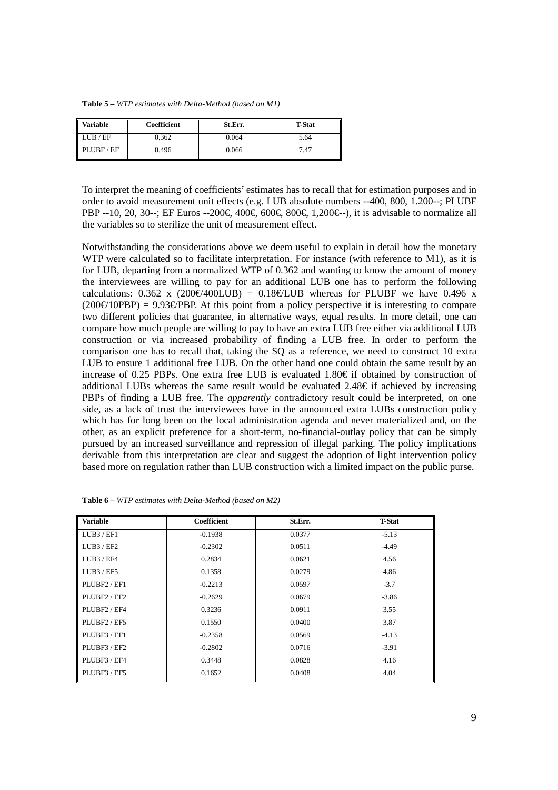**Table 5 –** *WTP estimates with Delta-Method (based on M1)* 

| L<br><b>Variable</b> | Coefficient | St.Err. | <b>T-Stat</b> |
|----------------------|-------------|---------|---------------|
| LUB/EF               | 0.362       | 0.064   | 5.64          |
| PLUBF/EF             | 0.496       | 0.066   | 7.47          |

To interpret the meaning of coefficients' estimates has to recall that for estimation purposes and in order to avoid measurement unit effects (e.g. LUB absolute numbers --400, 800, 1.200--; PLUBF PBP --10, 20, 30--; EF Euros --200€, 400€, 600€, 80€, 1,200€--), it is advisable to normalize all the variables so to sterilize the unit of measurement effect.

Notwithstanding the considerations above we deem useful to explain in detail how the monetary WTP were calculated so to facilitate interpretation. For instance (with reference to M1), as it is for LUB, departing from a normalized WTP of 0.362 and wanting to know the amount of money the interviewees are willing to pay for an additional LUB one has to perform the following calculations: 0.362 x (200€/400LUB) = 0.18€/LUB wheeas for PLUBF we have 0.496 x  $(200 \in (10PBP) = 9.93 \in (PBP)$ . At this point from a polive perspective it is interesting to compare two different policies that guarantee, in alternative ways, equal results. In more detail, one can compare how much people are willing to pay to have an extra LUB free either via additional LUB construction or via increased probability of finding a LUB free. In order to perform the comparison one has to recall that, taking the SQ as a reference, we need to construct 10 extra LUB to ensure 1 additional free LUB. On the other hand one could obtain the same result by an increase of 0.25 PBPs. One extra free LUB is evaluated 1.80 $\in$  if obtained by construction of additional LUBs whereas the same result would be evaluated  $2.48 \in \mathbb{R}^2$  if achieved by increasing PBPs of finding a LUB free. The *apparently* contradictory result could be interpreted, on one side, as a lack of trust the interviewees have in the announced extra LUBs construction policy which has for long been on the local administration agenda and never materialized and, on the other, as an explicit preference for a short-term, no-financial-outlay policy that can be simply pursued by an increased surveillance and repression of illegal parking. The policy implications derivable from this interpretation are clear and suggest the adoption of light intervention policy based more on regulation rather than LUB construction with a limited impact on the public purse.

| <b>Variable</b> | <b>Coefficient</b> | St.Err. | <b>T-Stat</b> |
|-----------------|--------------------|---------|---------------|
| LUB3/EF1        | $-0.1938$          | 0.0377  | $-5.13$       |
| LUB3 / EF2      | $-0.2302$          | 0.0511  | $-4.49$       |
| LUB3 / EF4      | 0.2834             | 0.0621  | 4.56          |
| LUB3 / EF5      | 0.1358             | 0.0279  | 4.86          |
| PLUBF2 / EF1    | $-0.2213$          | 0.0597  | $-3.7$        |
| PLUBF2/EF2      | $-0.2629$          | 0.0679  | $-3.86$       |
| PLUBF2/EF4      | 0.3236             | 0.0911  | 3.55          |
| PLUBF2/EF5      | 0.1550             | 0.0400  | 3.87          |
| PLUBF3/EF1      | $-0.2358$          | 0.0569  | $-4.13$       |
| PLUBF3/EF2      | $-0.2802$          | 0.0716  | $-3.91$       |
| PLUBF3 / EF4    | 0.3448             | 0.0828  | 4.16          |
| PLUBF3/EF5      | 0.1652             | 0.0408  | 4.04          |

**Table 6 –** *WTP estimates with Delta-Method (based on M2)*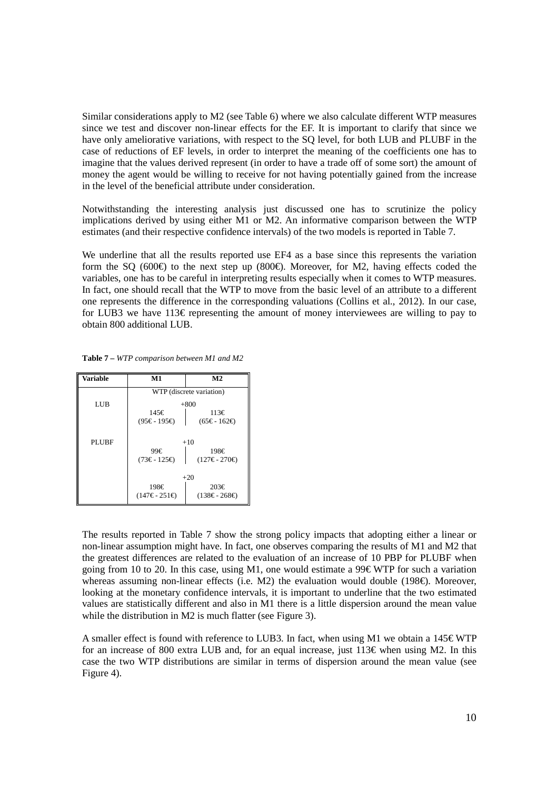Similar considerations apply to M2 (see Table 6) where we also calculate different WTP measures since we test and discover non-linear effects for the EF. It is important to clarify that since we have only ameliorative variations, with respect to the SQ level, for both LUB and PLUBF in the case of reductions of EF levels, in order to interpret the meaning of the coefficients one has to imagine that the values derived represent (in order to have a trade off of some sort) the amount of money the agent would be willing to receive for not having potentially gained from the increase in the level of the beneficial attribute under consideration.

Notwithstanding the interesting analysis just discussed one has to scrutinize the policy implications derived by using either M1 or M2. An informative comparison between the WTP estimates (and their respective confidence intervals) of the two models is reported in Table 7.

We underline that all the results reported use EF4 as a base since this represents the variation form the SQ (600€) to the next step up (800€). Moreover, for M2, having effects coded the variables, one has to be careful in interpreting results especially when it comes to WTP measures. In fact, one should recall that the WTP to move from the basic level of an attribute to a different one represents the difference in the corresponding valuations (Collins et al., 2012). In our case, for LUB3 we have  $113\epsilon$  representing the amount of money interviewees are willing to pay to obtain 800 additional LUB.

**Table 7 –** *WTP comparison between M1 and M2* 

| Variable     | $\bf M1$                 | M <sub>2</sub>       |  |
|--------------|--------------------------|----------------------|--|
|              | WTP (discrete variation) |                      |  |
| LUB          |                          | $+800$               |  |
|              | 145€                     | 113€                 |  |
|              | $(95€ - 195€)$           | $(65 \in -162 \in )$ |  |
| <b>PLUBE</b> | $+10$                    |                      |  |
|              | 99€<br>198€              |                      |  |
|              | (73€ - 125€)             | $(127€ - 270€)$      |  |
|              | $+20$                    |                      |  |
|              | 198€                     | 203€                 |  |
|              | $(147€ - 251€)$          | $(138€ - 268€)$      |  |

The results reported in Table 7 show the strong policy impacts that adopting either a linear or non-linear assumption might have. In fact, one observes comparing the results of M1 and M2 that the greatest differences are related to the evaluation of an increase of 10 PBP for PLUBF when going from 10 to 20. In this case, using M1, one would estimate a 99 $\epsilon$  WTP for such a variation whereas assuming non-linear effects (i.e. M2) the evaluation would double (198€). Moreover, looking at the monetary confidence intervals, it is important to underline that the two estimated values are statistically different and also in M1 there is a little dispersion around the mean value while the distribution in M2 is much flatter (see Figure 3).

A smaller effect is found with reference to LUB3. In fact, when using M1 we obtain a  $145 \in WTP$ for an increase of 800 extra LUB and, for an equal increase, just  $113\epsilon$  when using M2. In this case the two WTP distributions are similar in terms of dispersion around the mean value (see Figure 4).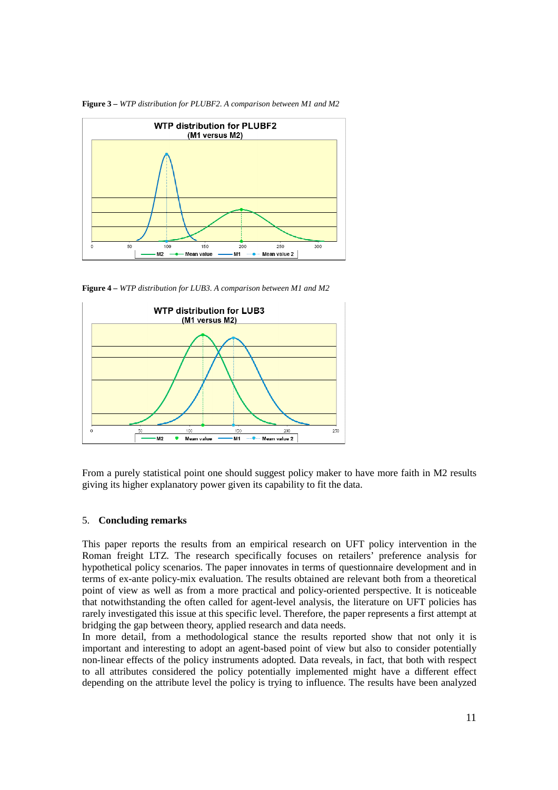

**Figure 3 –** *WTP distribution for PLUBF2. A comparison between M1 and M2* 

**Figure 4 –** *WTP distribution for LUB3. A comparison between M1 and M2* 



From a purely statistical point one should suggest policy maker to have more faith in M2 results giving its higher explanatory power given its capability to fit the data.

#### 5. **Concluding remarks**

This paper reports the results from an empirical research on UFT policy intervention in the Roman freight LTZ. The research specifically focuses on retailers' preference analysis for hypothetical policy scenarios. The paper innovates in terms of questionnaire development and in terms of ex-ante policy-mix evaluation. The results obtained are relevant both from a theoretical point of view as well as from a more practical and policy-oriented perspective. It is noticeable that notwithstanding the often called for agent-level analysis, the literature on UFT policies has rarely investigated this issue at this specific level. Therefore, the paper represents a first attempt at bridging the gap between theory, applied research and data needs.

In more detail, from a methodological stance the results reported show that not only it is important and interesting to adopt an agent-based point of view but also to consider potentially non-linear effects of the policy instruments adopted. Data reveals, in fact, that both with respect to all attributes considered the policy potentially implemented might have a different effect depending on the attribute level the policy is trying to influence. The results have been analyzed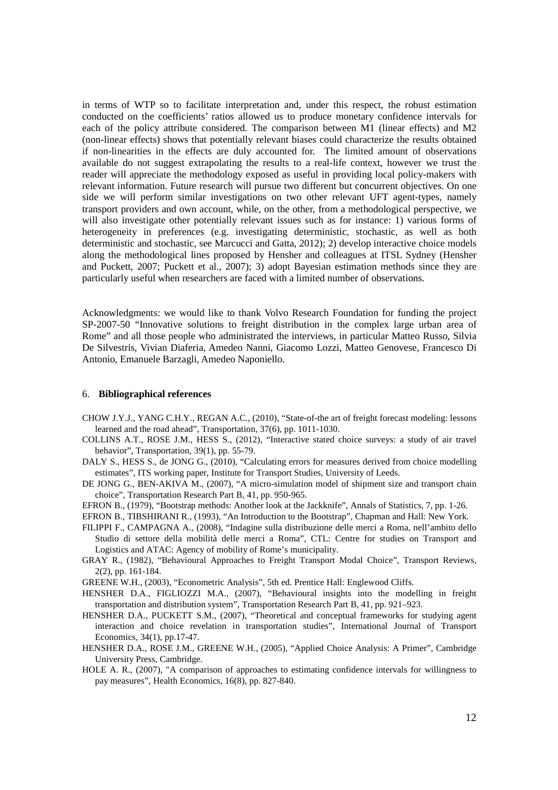in terms of WTP so to facilitate interpretation and, under this respect, the robust estimation conducted on the coefficients' ratios allowed us to produce monetary confidence intervals for each of the policy attribute considered. The comparison between M1 (linear effects) and M2 (non-linear effects) shows that potentially relevant biases could characterize the results obtained if non-linearities in the effects are duly accounted for. The limited amount of observations available do not suggest extrapolating the results to a real-life context, however we trust the reader will appreciate the methodology exposed as useful in providing local policy-makers with relevant information. Future research will pursue two different but concurrent objectives. On one side we will perform similar investigations on two other relevant UFT agent-types, namely transport providers and own account, while, on the other, from a methodological perspective, we will also investigate other potentially relevant issues such as for instance: 1) various forms of heterogeneity in preferences (e.g. investigating deterministic, stochastic, as well as both deterministic and stochastic, see Marcucci and Gatta, 2012); 2) develop interactive choice models along the methodological lines proposed by Hensher and colleagues at ITSL Sydney (Hensher and Puckett, 2007; Puckett et al., 2007); 3) adopt Bayesian estimation methods since they are particularly useful when researchers are faced with a limited number of observations.

Acknowledgments: we would like to thank Volvo Research Foundation for funding the project SP-2007-50 "Innovative solutions to freight distribution in the complex large urban area of Rome" and all those people who administrated the interviews, in particular Matteo Russo, Silvia De Silvestris, Vivian Diaferia, Amedeo Nanni, Giacomo Lozzi, Matteo Genovese, Francesco Di Antonio, Emanuele Barzagli, Amedeo Naponiello.

#### 6. **Bibliographical references**

- CHOW J.Y.J., YANG C.H.Y., REGAN A.C., (2010), "State-of-the art of freight forecast modeling: lessons learned and the road ahead", Transportation, 37(6), pp. 1011-1030.
- COLLINS A.T., ROSE J.M., HESS S., (2012), "Interactive stated choice surveys: a study of air travel behavior", Transportation, 39(1), pp. 55-79.
- DALY S., HESS S., de JONG G., (2010), "Calculating errors for measures derived from choice modelling estimates", ITS working paper, Institute for Transport Studies, University of Leeds.
- DE JONG G., BEN-AKIVA M., (2007), "A micro-simulation model of shipment size and transport chain choice", Transportation Research Part B, 41, pp. 950-965.
- EFRON B., (1979), "Bootstrap methods: Another look at the Jackknife", Annals of Statistics, 7, pp. 1-26.
- EFRON B., TIBSHIRANI R., (1993), "An Introduction to the Bootstrap", Chapman and Hall: New York.
- FILIPPI F., CAMPAGNA A., (2008), "Indagine sulla distribuzione delle merci a Roma, nell'ambito dello Studio di settore della mobilità delle merci a Roma", CTL: Centre for studies on Transport and Logistics and ATAC: Agency of mobility of Rome's municipality.
- GRAY R., (1982), "Behavioural Approaches to Freight Transport Modal Choice", Transport Reviews, 2(2), pp. 161-184.
- GREENE W.H., (2003), "Econometric Analysis", 5th ed. Prentice Hall: Englewood Cliffs.
- HENSHER D.A., FIGLIOZZI M.A., (2007), "Behavioural insights into the modelling in freight transportation and distribution system", Transportation Research Part B, 41, pp. 921–923.
- HENSHER D.A., PUCKETT S.M., (2007), "Theoretical and conceptual frameworks for studying agent interaction and choice revelation in transportation studies", International Journal of Transport Economics, 34(1), pp.17-47.
- HENSHER D.A., ROSE J.M., GREENE W.H., (2005), "Applied Choice Analysis: A Primer", Cambridge University Press, Cambridge.
- HOLE A. R., (2007), "A comparison of approaches to estimating confidence intervals for willingness to pay measures", Health Economics, 16(8), pp. 827-840.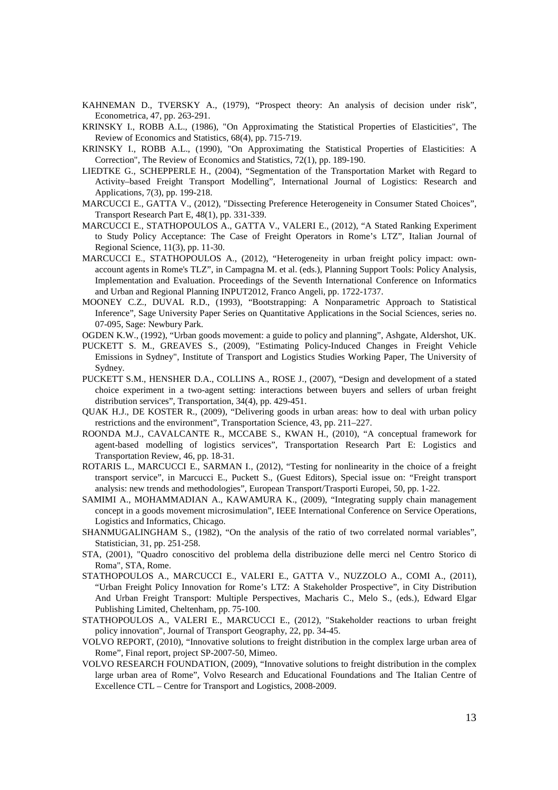- KAHNEMAN D., TVERSKY A., (1979), "Prospect theory: An analysis of decision under risk", Econometrica, 47, pp. 263-291.
- KRINSKY I., ROBB A.L., (1986), "On Approximating the Statistical Properties of Elasticities", The Review of Economics and Statistics, 68(4), pp. 715-719.
- KRINSKY I., ROBB A.L., (1990), "On Approximating the Statistical Properties of Elasticities: A Correction", The Review of Economics and Statistics, 72(1), pp. 189-190.
- LIEDTKE G., SCHEPPERLE H., (2004), "Segmentation of the Transportation Market with Regard to Activity–based Freight Transport Modelling", International Journal of Logistics: Research and Applications, 7(3), pp. 199-218.
- MARCUCCI E., GATTA V., (2012), "Dissecting Preference Heterogeneity in Consumer Stated Choices", Transport Research Part E, 48(1), pp. 331-339.
- MARCUCCI E., STATHOPOULOS A., GATTA V., VALERI E., (2012), "A Stated Ranking Experiment to Study Policy Acceptance: The Case of Freight Operators in Rome's LTZ", Italian Journal of Regional Science, 11(3), pp. 11-30.
- MARCUCCI E., STATHOPOULOS A., (2012), "Heterogeneity in urban freight policy impact: ownaccount agents in Rome's TLZ", in Campagna M. et al. (eds.), Planning Support Tools: Policy Analysis, Implementation and Evaluation. Proceedings of the Seventh International Conference on Informatics and Urban and Regional Planning INPUT2012, Franco Angeli, pp. 1722-1737.
- MOONEY C.Z., DUVAL R.D., (1993), "Bootstrapping: A Nonparametric Approach to Statistical Inference", Sage University Paper Series on Quantitative Applications in the Social Sciences, series no. 07-095, Sage: Newbury Park.
- OGDEN K.W., (1992), "Urban goods movement: a guide to policy and planning", Ashgate, Aldershot, UK.
- PUCKETT S. M., GREAVES S., (2009), "Estimating Policy-Induced Changes in Freight Vehicle Emissions in Sydney", Institute of Transport and Logistics Studies Working Paper, The University of Sydney.
- PUCKETT S.M., HENSHER D.A., COLLINS A., ROSE J., (2007), "Design and development of a stated choice experiment in a two-agent setting: interactions between buyers and sellers of urban freight distribution services", Transportation, 34(4), pp. 429-451.
- QUAK H.J., DE KOSTER R., (2009), "Delivering goods in urban areas: how to deal with urban policy restrictions and the environment", Transportation Science, 43, pp. 211–227.
- ROONDA M.J., CAVALCANTE R., MCCABE S., KWAN H., (2010), "A conceptual framework for agent-based modelling of logistics services", Transportation Research Part E: Logistics and Transportation Review, 46, pp. 18-31.
- ROTARIS L., MARCUCCI E., SARMAN I., (2012), "Testing for nonlinearity in the choice of a freight transport service", in Marcucci E., Puckett S., (Guest Editors), Special issue on: "Freight transport analysis: new trends and methodologies", European Transport/Trasporti Europei, 50, pp. 1-22.
- SAMIMI A., MOHAMMADIAN A., KAWAMURA K., (2009), "Integrating supply chain management concept in a goods movement microsimulation", IEEE International Conference on Service Operations, Logistics and Informatics, Chicago.
- SHANMUGALINGHAM S., (1982), "On the analysis of the ratio of two correlated normal variables", Statistician, 31, pp. 251-258.
- STA, (2001), "Quadro conoscitivo del problema della distribuzione delle merci nel Centro Storico di Roma", STA, Rome.
- STATHOPOULOS A., MARCUCCI E., VALERI E., GATTA V., NUZZOLO A., COMI A., (2011), "Urban Freight Policy Innovation for Rome's LTZ: A Stakeholder Prospective", in City Distribution And Urban Freight Transport: Multiple Perspectives, Macharis C., Melo S., (eds.), Edward Elgar Publishing Limited, Cheltenham, pp. 75-100.
- STATHOPOULOS A., VALERI E., MARCUCCI E., (2012), "Stakeholder reactions to urban freight policy innovation", Journal of Transport Geography, 22, pp. 34-45.
- VOLVO REPORT, (2010), "Innovative solutions to freight distribution in the complex large urban area of Rome", Final report, project SP-2007-50, Mimeo.
- VOLVO RESEARCH FOUNDATION, (2009), "Innovative solutions to freight distribution in the complex large urban area of Rome", Volvo Research and Educational Foundations and The Italian Centre of Excellence CTL – Centre for Transport and Logistics, 2008-2009.